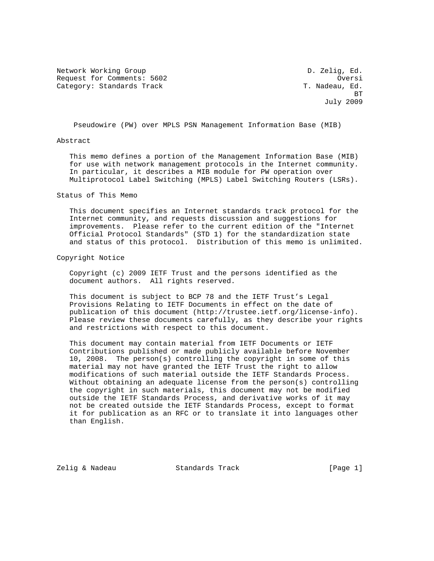Network Working Group and the control of the D. Zelig, Ed. Request for Comments: 5602 and the control oversi Category: Standards Track T. Nadeau, Ed. 3. T. Nadeau, Ed.

**BT** STATE STATE STATE STATE STATE STATE STATE STATE STATE STATE STATE STATE STATE STATE STATE STATE STATE STATE STATE STATE STATE STATE STATE STATE STATE STATE STATE STATE STATE STATE STATE STATE STATE STATE STATE STATE S July 2009

Pseudowire (PW) over MPLS PSN Management Information Base (MIB)

#### Abstract

 This memo defines a portion of the Management Information Base (MIB) for use with network management protocols in the Internet community. In particular, it describes a MIB module for PW operation over Multiprotocol Label Switching (MPLS) Label Switching Routers (LSRs).

### Status of This Memo

 This document specifies an Internet standards track protocol for the Internet community, and requests discussion and suggestions for improvements. Please refer to the current edition of the "Internet Official Protocol Standards" (STD 1) for the standardization state and status of this protocol. Distribution of this memo is unlimited.

#### Copyright Notice

 Copyright (c) 2009 IETF Trust and the persons identified as the document authors. All rights reserved.

 This document is subject to BCP 78 and the IETF Trust's Legal Provisions Relating to IETF Documents in effect on the date of publication of this document (http://trustee.ietf.org/license-info). Please review these documents carefully, as they describe your rights and restrictions with respect to this document.

 This document may contain material from IETF Documents or IETF Contributions published or made publicly available before November 10, 2008. The person(s) controlling the copyright in some of this material may not have granted the IETF Trust the right to allow modifications of such material outside the IETF Standards Process. Without obtaining an adequate license from the person(s) controlling the copyright in such materials, this document may not be modified outside the IETF Standards Process, and derivative works of it may not be created outside the IETF Standards Process, except to format it for publication as an RFC or to translate it into languages other than English.

Zelig & Nadeau Standards Track [Page 1]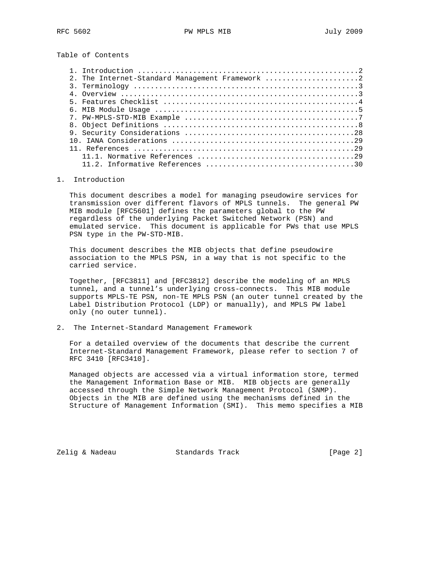Table of Contents

| 2. The Internet-Standard Management Framework 2                                                                                                                                                                                                                                                                                        |
|----------------------------------------------------------------------------------------------------------------------------------------------------------------------------------------------------------------------------------------------------------------------------------------------------------------------------------------|
|                                                                                                                                                                                                                                                                                                                                        |
| 4. Overview $\ldots$ $\ldots$ $\ldots$ $\ldots$ $\ldots$ $\ldots$ $\ldots$ $\ldots$ $\ldots$ $\ldots$ $\ldots$ $\ldots$ $\ldots$ $\ldots$ $\ldots$ $\ldots$ $\ldots$ $\ldots$ $\ldots$ $\ldots$ $\ldots$ $\ldots$ $\ldots$ $\ldots$ $\ldots$ $\ldots$ $\ldots$ $\ldots$ $\ldots$ $\ldots$ $\ldots$ $\ldots$ $\ldots$ $\ldots$ $\ldots$ |
|                                                                                                                                                                                                                                                                                                                                        |
|                                                                                                                                                                                                                                                                                                                                        |
|                                                                                                                                                                                                                                                                                                                                        |
|                                                                                                                                                                                                                                                                                                                                        |
|                                                                                                                                                                                                                                                                                                                                        |
|                                                                                                                                                                                                                                                                                                                                        |
|                                                                                                                                                                                                                                                                                                                                        |
|                                                                                                                                                                                                                                                                                                                                        |
|                                                                                                                                                                                                                                                                                                                                        |

### 1. Introduction

 This document describes a model for managing pseudowire services for transmission over different flavors of MPLS tunnels. The general PW MIB module [RFC5601] defines the parameters global to the PW regardless of the underlying Packet Switched Network (PSN) and emulated service. This document is applicable for PWs that use MPLS PSN type in the PW-STD-MIB.

 This document describes the MIB objects that define pseudowire association to the MPLS PSN, in a way that is not specific to the carried service.

 Together, [RFC3811] and [RFC3812] describe the modeling of an MPLS tunnel, and a tunnel's underlying cross-connects. This MIB module supports MPLS-TE PSN, non-TE MPLS PSN (an outer tunnel created by the Label Distribution Protocol (LDP) or manually), and MPLS PW label only (no outer tunnel).

2. The Internet-Standard Management Framework

 For a detailed overview of the documents that describe the current Internet-Standard Management Framework, please refer to section 7 of RFC 3410 [RFC3410].

 Managed objects are accessed via a virtual information store, termed the Management Information Base or MIB. MIB objects are generally accessed through the Simple Network Management Protocol (SNMP). Objects in the MIB are defined using the mechanisms defined in the Structure of Management Information (SMI). This memo specifies a MIB

Zelig & Nadeau **Standards Track** [Page 2]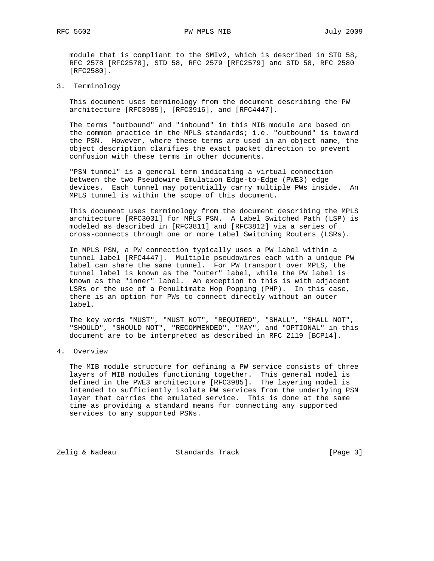RFC 5602 PW MPLS MIB 2009

 module that is compliant to the SMIv2, which is described in STD 58, RFC 2578 [RFC2578], STD 58, RFC 2579 [RFC2579] and STD 58, RFC 2580 [RFC2580].

3. Terminology

 This document uses terminology from the document describing the PW architecture [RFC3985], [RFC3916], and [RFC4447].

 The terms "outbound" and "inbound" in this MIB module are based on the common practice in the MPLS standards; i.e. "outbound" is toward the PSN. However, where these terms are used in an object name, the object description clarifies the exact packet direction to prevent confusion with these terms in other documents.

 "PSN tunnel" is a general term indicating a virtual connection between the two Pseudowire Emulation Edge-to-Edge (PWE3) edge devices. Each tunnel may potentially carry multiple PWs inside. An MPLS tunnel is within the scope of this document.

 This document uses terminology from the document describing the MPLS architecture [RFC3031] for MPLS PSN. A Label Switched Path (LSP) is modeled as described in [RFC3811] and [RFC3812] via a series of cross-connects through one or more Label Switching Routers (LSRs).

 In MPLS PSN, a PW connection typically uses a PW label within a tunnel label [RFC4447]. Multiple pseudowires each with a unique PW label can share the same tunnel. For PW transport over MPLS, the tunnel label is known as the "outer" label, while the PW label is known as the "inner" label. An exception to this is with adjacent LSRs or the use of a Penultimate Hop Popping (PHP). In this case, there is an option for PWs to connect directly without an outer label.

 The key words "MUST", "MUST NOT", "REQUIRED", "SHALL", "SHALL NOT", "SHOULD", "SHOULD NOT", "RECOMMENDED", "MAY", and "OPTIONAL" in this document are to be interpreted as described in RFC 2119 [BCP14].

4. Overview

 The MIB module structure for defining a PW service consists of three layers of MIB modules functioning together. This general model is defined in the PWE3 architecture [RFC3985]. The layering model is intended to sufficiently isolate PW services from the underlying PSN layer that carries the emulated service. This is done at the same time as providing a standard means for connecting any supported services to any supported PSNs.

Zelig & Nadeau **Standards Track** [Page 3]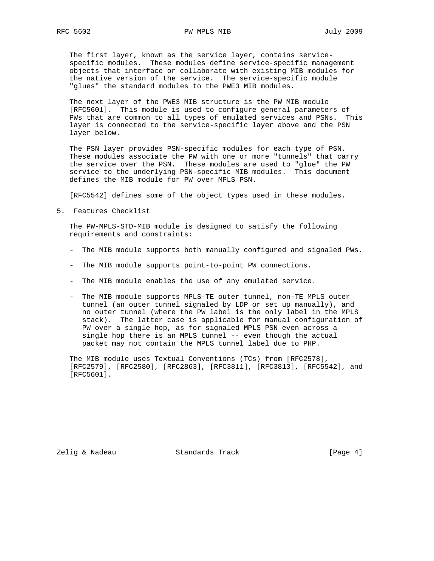The first layer, known as the service layer, contains service specific modules. These modules define service-specific management objects that interface or collaborate with existing MIB modules for the native version of the service. The service-specific module "glues" the standard modules to the PWE3 MIB modules.

 The next layer of the PWE3 MIB structure is the PW MIB module [RFC5601]. This module is used to configure general parameters of PWs that are common to all types of emulated services and PSNs. This layer is connected to the service-specific layer above and the PSN layer below.

 The PSN layer provides PSN-specific modules for each type of PSN. These modules associate the PW with one or more "tunnels" that carry the service over the PSN. These modules are used to "glue" the PW service to the underlying PSN-specific MIB modules. This document defines the MIB module for PW over MPLS PSN.

[RFC5542] defines some of the object types used in these modules.

5. Features Checklist

 The PW-MPLS-STD-MIB module is designed to satisfy the following requirements and constraints:

- The MIB module supports both manually configured and signaled PWs.
- The MIB module supports point-to-point PW connections.
- The MIB module enables the use of any emulated service.
- The MIB module supports MPLS-TE outer tunnel, non-TE MPLS outer tunnel (an outer tunnel signaled by LDP or set up manually), and no outer tunnel (where the PW label is the only label in the MPLS stack). The latter case is applicable for manual configuration of PW over a single hop, as for signaled MPLS PSN even across a single hop there is an MPLS tunnel -- even though the actual packet may not contain the MPLS tunnel label due to PHP.

 The MIB module uses Textual Conventions (TCs) from [RFC2578], [RFC2579], [RFC2580], [RFC2863], [RFC3811], [RFC3813], [RFC5542], and [RFC5601].

Zelig & Nadeau **Standards Track** [Page 4]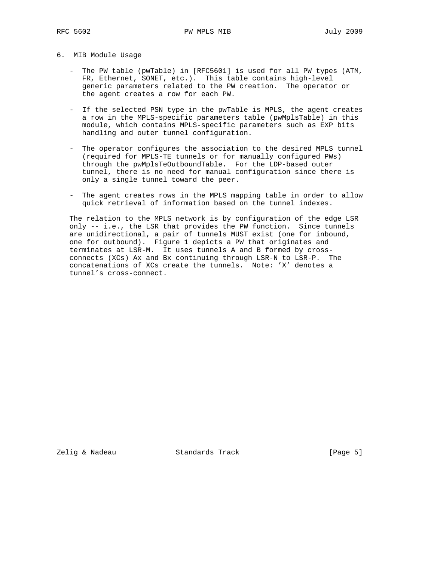## 6. MIB Module Usage

- The PW table (pwTable) in [RFC5601] is used for all PW types (ATM, FR, Ethernet, SONET, etc.). This table contains high-level generic parameters related to the PW creation. The operator or the agent creates a row for each PW.
- If the selected PSN type in the pwTable is MPLS, the agent creates a row in the MPLS-specific parameters table (pwMplsTable) in this module, which contains MPLS-specific parameters such as EXP bits handling and outer tunnel configuration.
- The operator configures the association to the desired MPLS tunnel (required for MPLS-TE tunnels or for manually configured PWs) through the pwMplsTeOutboundTable. For the LDP-based outer tunnel, there is no need for manual configuration since there is only a single tunnel toward the peer.
- The agent creates rows in the MPLS mapping table in order to allow quick retrieval of information based on the tunnel indexes.

 The relation to the MPLS network is by configuration of the edge LSR only -- i.e., the LSR that provides the PW function. Since tunnels are unidirectional, a pair of tunnels MUST exist (one for inbound, one for outbound). Figure 1 depicts a PW that originates and terminates at LSR-M. It uses tunnels A and B formed by cross connects (XCs) Ax and Bx continuing through LSR-N to LSR-P. The concatenations of XCs create the tunnels. Note: 'X' denotes a tunnel's cross-connect.

Zelig & Nadeau Standards Track [Page 5]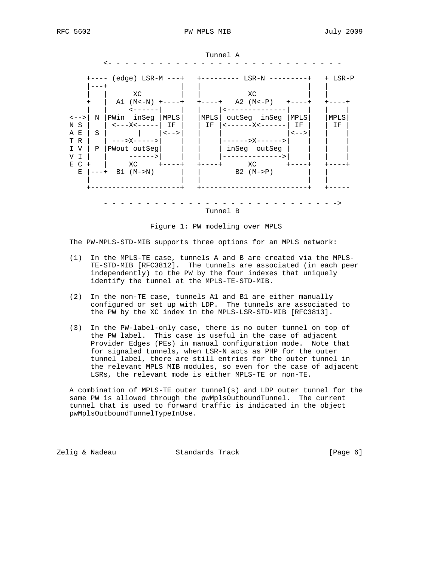

Tunnel A





The PW-MPLS-STD-MIB supports three options for an MPLS network:

- (1) In the MPLS-TE case, tunnels A and B are created via the MPLS- TE-STD-MIB [RFC3812]. The tunnels are associated (in each peer independently) to the PW by the four indexes that uniquely identify the tunnel at the MPLS-TE-STD-MIB.
- (2) In the non-TE case, tunnels A1 and B1 are either manually configured or set up with LDP. The tunnels are associated to the PW by the XC index in the MPLS-LSR-STD-MIB [RFC3813].
- (3) In the PW-label-only case, there is no outer tunnel on top of the PW label. This case is useful in the case of adjacent Provider Edges (PEs) in manual configuration mode. Note that for signaled tunnels, when LSR-N acts as PHP for the outer tunnel label, there are still entries for the outer tunnel in the relevant MPLS MIB modules, so even for the case of adjacent LSRs, the relevant mode is either MPLS-TE or non-TE.

 A combination of MPLS-TE outer tunnel(s) and LDP outer tunnel for the same PW is allowed through the pwMplsOutboundTunnel. The current tunnel that is used to forward traffic is indicated in the object pwMplsOutboundTunnelTypeInUse.

Zelig & Nadeau Standards Track [Page 6]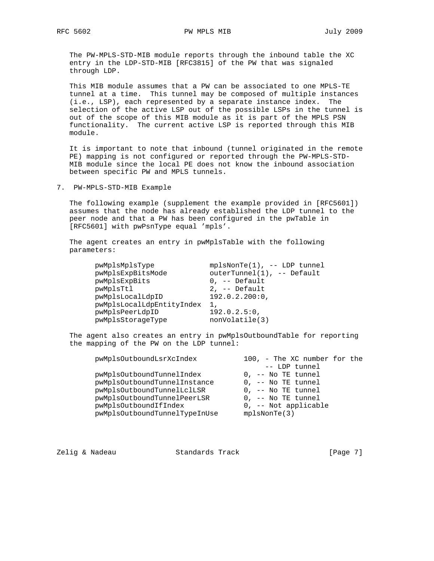The PW-MPLS-STD-MIB module reports through the inbound table the XC entry in the LDP-STD-MIB [RFC3815] of the PW that was signaled through LDP.

 This MIB module assumes that a PW can be associated to one MPLS-TE tunnel at a time. This tunnel may be composed of multiple instances (i.e., LSP), each represented by a separate instance index. The selection of the active LSP out of the possible LSPs in the tunnel is out of the scope of this MIB module as it is part of the MPLS PSN functionality. The current active LSP is reported through this MIB module.

 It is important to note that inbound (tunnel originated in the remote PE) mapping is not configured or reported through the PW-MPLS-STD- MIB module since the local PE does not know the inbound association between specific PW and MPLS tunnels.

7. PW-MPLS-STD-MIB Example

 The following example (supplement the example provided in [RFC5601]) assumes that the node has already established the LDP tunnel to the peer node and that a PW has been configured in the pwTable in [RFC5601] with pwPsnType equal 'mpls'.

 The agent creates an entry in pwMplsTable with the following parameters:

| pwMplsMplsType            | $mplsNonTe(1)$ , -- LDP tunnel |
|---------------------------|--------------------------------|
| pwMplsExpBitsMode         | outerTunnel(1), -- Default     |
| pwMplsExpBits             | $0$ , $-$ Default              |
| pwMplsTtl                 | $2, -$ Default                 |
| pwMplsLocalLdpID          | 192.0.2.200:0,                 |
| pwMplsLocalLdpEntityIndex | 1,                             |
| pwMplsPeerLdpID           | 192.0.2.5:0,                   |
| pwMplsStorageType         | nonVolatile(3)                 |
|                           |                                |

 The agent also creates an entry in pwMplsOutboundTable for reporting the mapping of the PW on the LDP tunnel:

| pwMplsOutboundLsrXcIndex      | 100, - The XC number for the |
|-------------------------------|------------------------------|
|                               | -- LDP tunnel                |
| pwMplsOutboundTunnelIndex     | 0, -- No TE tunnel           |
| pwMplsOutboundTunnelInstance  | 0, -- No TE tunnel           |
| pwMplsOutboundTunnelLclLSR    | 0, -- No TE tunnel           |
| pwMplsOutboundTunnelPeerLSR   | $0$ , $-$ No TE tunnel       |
| pwMplsOutboundIfIndex         | 0, -- Not applicable         |
| pwMplsOutboundTunnelTypeInUse | $mpl$ sNonTe $(3)$           |

Zelig & Nadeau **Standards Track** [Page 7]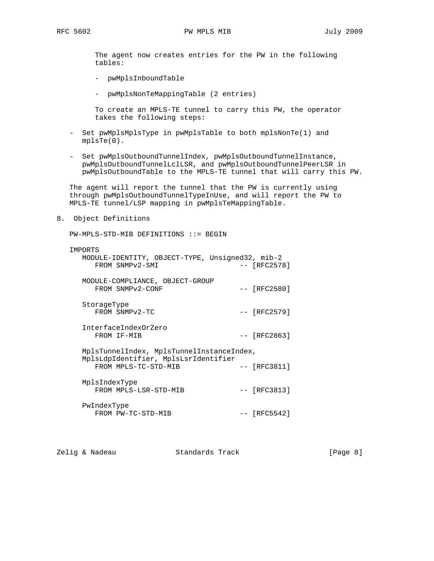The agent now creates entries for the PW in the following tables:

- pwMplsInboundTable
- pwMplsNonTeMappingTable (2 entries)

 To create an MPLS-TE tunnel to carry this PW, the operator takes the following steps:

- Set pwMplsMplsType in pwMplsTable to both mplsNonTe(1) and mplsTe(0).
- Set pwMplsOutboundTunnelIndex, pwMplsOutboundTunnelInstance, pwMplsOutboundTunnelLclLSR, and pwMplsOutboundTunnelPeerLSR in pwMplsOutboundTable to the MPLS-TE tunnel that will carry this PW.

 The agent will report the tunnel that the PW is currently using through pwMplsOutboundTunnelTypeInUse, and will report the PW to MPLS-TE tunnel/LSP mapping in pwMplsTeMappingTable.

8. Object Definitions

PW-MPLS-STD-MIB DEFINITIONS ::= BEGIN

| IMPORTS                                         |       |                |
|-------------------------------------------------|-------|----------------|
| MODULE-IDENTITY, OBJECT-TYPE, Unsigned32, mib-2 |       |                |
| FROM SNMPv2-SMI                                 |       | -- 「RFC2578]   |
| MODULE-COMPLIANCE, OBJECT-GROUP                 |       |                |
| FROM SNMPv2-CONF                                |       | $--$ [RFC2580] |
|                                                 |       |                |
| StorageType<br>FROM SNMPv2-TC                   |       | $-- [RFC2579]$ |
|                                                 |       |                |
| InterfaceIndexOrZero                            |       |                |
| FROM IF-MIB                                     | $- -$ | [RFC2863]      |
| MplsTunnelIndex, MplsTunnelInstanceIndex,       |       |                |
| MplsLdpIdentifier, MplsLsrIdentifier            |       |                |
| FROM MPLS-TC-STD-MIB                            |       | $-- [RFC3811]$ |
| MplsIndexType                                   |       |                |
| FROM MPLS-LSR-STD-MIB                           |       | $-- [RFC3813]$ |
|                                                 |       |                |
| PwIndexType                                     |       |                |
| FROM PW-TC-STD-MIB                              |       | -- [RFC5542]   |

Zelig & Nadeau **Standards Track** [Page 8]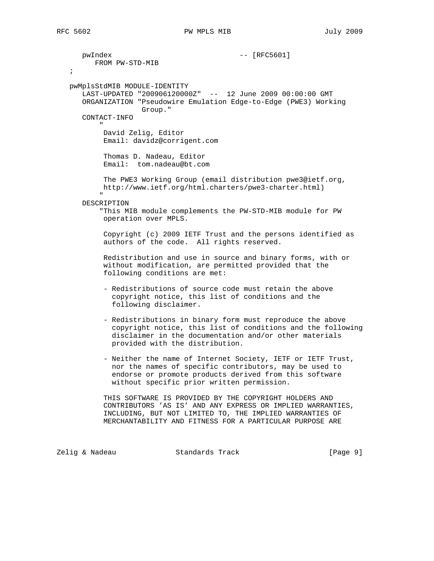pwIndex -- [RFC5601] FROM PW-STD-MIB ; pwMplsStdMIB MODULE-IDENTITY LAST-UPDATED "200906120000Z" -- 12 June 2009 00:00:00 GMT ORGANIZATION "Pseudowire Emulation Edge-to-Edge (PWE3) Working Group." CONTACT-INFO " "The Contract of the Contract of the Contract of the Contract of the Contract of the Contract of the Contract of the Contract of the Contract of the Contract of the Contract of the Contract of the Contract of the Contrac David Zelig, Editor Email: davidz@corrigent.com Thomas D. Nadeau, Editor Email: tom.nadeau@bt.com The PWE3 Working Group (email distribution pwe3@ietf.org, http://www.ietf.org/html.charters/pwe3-charter.html) " "The Contract of the Contract of the Contract of the Contract of the Contract of the Contract of the Contract of the Contract of the Contract of the Contract of the Contract of the Contract of the Contract of the Contrac DESCRIPTION "This MIB module complements the PW-STD-MIB module for PW operation over MPLS. Copyright (c) 2009 IETF Trust and the persons identified as authors of the code. All rights reserved. Redistribution and use in source and binary forms, with or without modification, are permitted provided that the following conditions are met: - Redistributions of source code must retain the above copyright notice, this list of conditions and the following disclaimer. - Redistributions in binary form must reproduce the above copyright notice, this list of conditions and the following disclaimer in the documentation and/or other materials provided with the distribution. - Neither the name of Internet Society, IETF or IETF Trust, nor the names of specific contributors, may be used to endorse or promote products derived from this software without specific prior written permission. THIS SOFTWARE IS PROVIDED BY THE COPYRIGHT HOLDERS AND CONTRIBUTORS 'AS IS' AND ANY EXPRESS OR IMPLIED WARRANTIES, INCLUDING, BUT NOT LIMITED TO, THE IMPLIED WARRANTIES OF MERCHANTABILITY AND FITNESS FOR A PARTICULAR PURPOSE ARE

Zelig & Nadeau Standards Track [Page 9]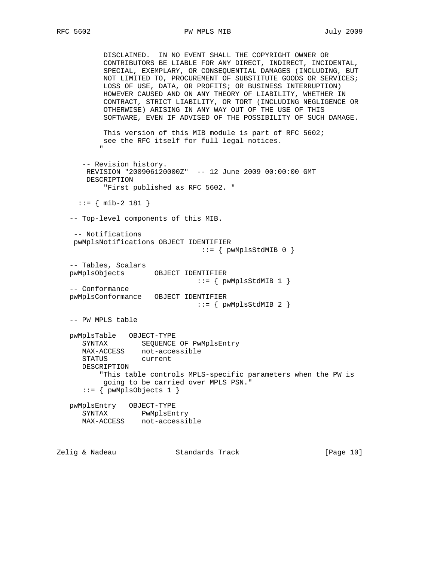# RFC 5602 **PW MPLS MIB PW MPLS MIB** July 2009

 DISCLAIMED. IN NO EVENT SHALL THE COPYRIGHT OWNER OR CONTRIBUTORS BE LIABLE FOR ANY DIRECT, INDIRECT, INCIDENTAL, SPECIAL, EXEMPLARY, OR CONSEQUENTIAL DAMAGES (INCLUDING, BUT NOT LIMITED TO, PROCUREMENT OF SUBSTITUTE GOODS OR SERVICES; LOSS OF USE, DATA, OR PROFITS; OR BUSINESS INTERRUPTION) HOWEVER CAUSED AND ON ANY THEORY OF LIABILITY, WHETHER IN CONTRACT, STRICT LIABILITY, OR TORT (INCLUDING NEGLIGENCE OR OTHERWISE) ARISING IN ANY WAY OUT OF THE USE OF THIS SOFTWARE, EVEN IF ADVISED OF THE POSSIBILITY OF SUCH DAMAGE. This version of this MIB module is part of RFC 5602; see the RFC itself for full legal notices. " "The Contract of the Contract of the Contract of the Contract of the Contract of the Contract of the Contract of the Contract of the Contract of the Contract of the Contract of the Contract of the Contract of the Contrac -- Revision history. REVISION "200906120000Z" -- 12 June 2009 00:00:00 GMT DESCRIPTION "First published as RFC 5602. "  $::=$  { mib-2 181 } -- Top-level components of this MIB. -- Notifications pwMplsNotifications OBJECT IDENTIFIER  $::=$  {  $pwMplsStdMIB 0$  } -- Tables, Scalars pwMplsObjects OBJECT IDENTIFIER  $::=$   $\{$  pwMplsStdMIB 1  $\}$  -- Conformance pwMplsConformance OBJECT IDENTIFIER  $::=$   $\{$  pwMplsStdMIB 2  $\}$  -- PW MPLS table pwMplsTable OBJECT-TYPE SYNTAX SEQUENCE OF PwMplsEntry MAX-ACCESS not-accessible STATUS current DESCRIPTION "This table controls MPLS-specific parameters when the PW is going to be carried over MPLS PSN."  $::=$  { pwMplsObjects 1 } pwMplsEntry OBJECT-TYPE SYNTAX PwMplsEntry MAX-ACCESS not-accessible

Zelig & Nadeau **Standards Track** [Page 10]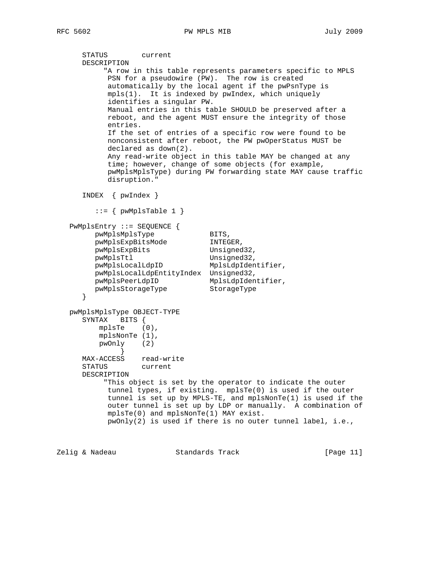```
 STATUS current
      DESCRIPTION
           "A row in this table represents parameters specific to MPLS
           PSN for a pseudowire (PW). The row is created
           automatically by the local agent if the pwPsnType is
           mpls(1). It is indexed by pwIndex, which uniquely
           identifies a singular PW.
           Manual entries in this table SHOULD be preserved after a
           reboot, and the agent MUST ensure the integrity of those
           entries.
           If the set of entries of a specific row were found to be
           nonconsistent after reboot, the PW pwOperStatus MUST be
           declared as down(2).
           Any read-write object in this table MAY be changed at any
           time; however, change of some objects (for example,
           pwMplsMplsType) during PW forwarding state MAY cause traffic
           disruption."
      INDEX { pwIndex }
        ::= { pwMplsTable 1 }
   PwMplsEntry ::= SEQUENCE {
pwMplsMplsType BITS,
pwMplsExpBitsMode INTEGER,
 pwMplsExpBits Unsigned32,
 pwMplsTtl Unsigned32,
 pwMplsLocalLdpID MplsLdpIdentifier,
        pwMplsLocalLdpEntityIndex Unsigned32,
 pwMplsPeerLdpID MplsLdpIdentifier,
 pwMplsStorageType StorageType
      }
   pwMplsMplsType OBJECT-TYPE
      SYNTAX BITS {
         mplsTe (0),
         mplsNonTe (1),
         pwOnly (2)
            }
      MAX-ACCESS read-write
      STATUS current
      DESCRIPTION
           "This object is set by the operator to indicate the outer
           tunnel types, if existing. mplsTe(0) is used if the outer
           tunnel is set up by MPLS-TE, and mplsNonTe(1) is used if the
           outer tunnel is set up by LDP or manually. A combination of
           mplsTe(0) and mplsNonTe(1) MAY exist.
           pwOnly(2) is used if there is no outer tunnel label, i.e.,
```
Zelig & Nadeau Standards Track [Page 11]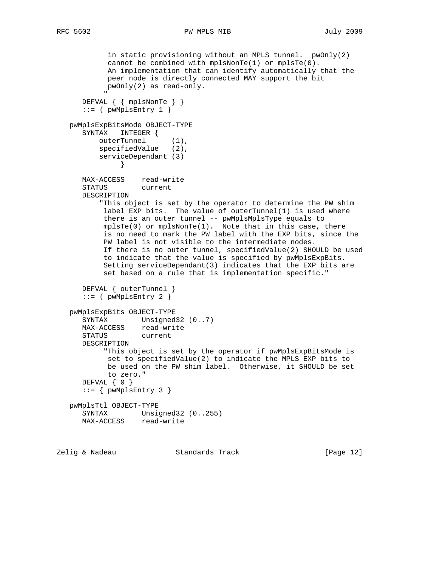```
RFC 5602 PW MPLS MIB July 2009
```

```
 in static provisioning without an MPLS tunnel. pwOnly(2)
             cannot be combined with mplsNonTe(1) or mplsTe(0).
              An implementation that can identify automatically that the
              peer node is directly connected MAY support the bit
             pwOnly(2) as read-only.
" "The Contract of the Contract of the Contract of the Contract of the Contract of the Contract of the Contract of the Contract of the Contract of the Contract of the Contract of the Contract of the Contract of the Contrac
       DEFVAL { { mplsNonTe } }
      ::= { pwMplsEntry 1 }
   pwMplsExpBitsMode OBJECT-TYPE
       SYNTAX INTEGER {
           outerTunnel (1),
           specifiedValue (2),
           serviceDependant (3)
 }
      MAX-ACCESS read-write<br>STATUS current
      STATUS
       DESCRIPTION
            "This object is set by the operator to determine the PW shim
            label EXP bits. The value of outerTunnel(1) is used where
             there is an outer tunnel -- pwMplsMplsType equals to
            mplsTe(0) or mplsNonTe(1). Note that in this case, there
             is no need to mark the PW label with the EXP bits, since the
             PW label is not visible to the intermediate nodes.
             If there is no outer tunnel, specifiedValue(2) SHOULD be used
             to indicate that the value is specified by pwMplsExpBits.
             Setting serviceDependant(3) indicates that the EXP bits are
             set based on a rule that is implementation specific."
       DEFVAL { outerTunnel }
      ::= { pwMplsEntry 2 }
    pwMplsExpBits OBJECT-TYPE
      SYNTAX Unsigned32 (0..7)
       MAX-ACCESS read-write
       STATUS current
       DESCRIPTION
             "This object is set by the operator if pwMplsExpBitsMode is
              set to specifiedValue(2) to indicate the MPLS EXP bits to
              be used on the PW shim label. Otherwise, it SHOULD be set
             to zero."
       DEFVAL { 0 }
      ::= { pwMplsEntry 3 }
    pwMplsTtl OBJECT-TYPE
 SYNTAX Unsigned32 (0..255)
 MAX-ACCESS read-write
```
Zelig & Nadeau Standards Track [Page 12]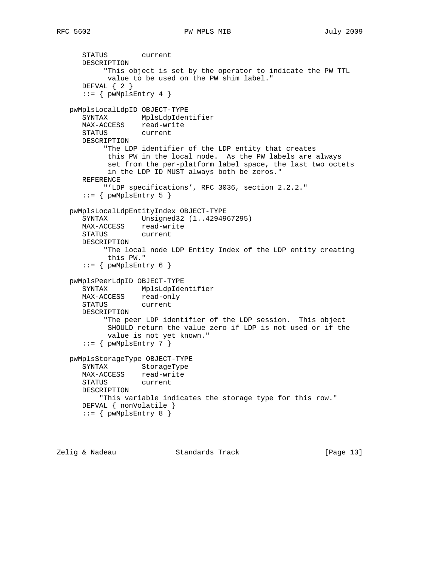```
 STATUS current
      DESCRIPTION
           "This object is set by the operator to indicate the PW TTL
           value to be used on the PW shim label."
      DEFVAL { 2 }
     ::= { pwMplsEntry 4 }
   pwMplsLocalLdpID OBJECT-TYPE
 SYNTAX MplsLdpIdentifier
 MAX-ACCESS read-write
 STATUS current
      DESCRIPTION
           "The LDP identifier of the LDP entity that creates
            this PW in the local node. As the PW labels are always
            set from the per-platform label space, the last two octets
            in the LDP ID MUST always both be zeros."
      REFERENCE
          "'LDP specifications', RFC 3036, section 2.2.2."
     ::= { pwMplsEntry 5 }
   pwMplsLocalLdpEntityIndex OBJECT-TYPE
      SYNTAX Unsigned32 (1..4294967295)
      MAX-ACCESS read-write
      STATUS current
      DESCRIPTION
           "The local node LDP Entity Index of the LDP entity creating
            this PW."
     ::= { pwMplsEntry 6 }
   pwMplsPeerLdpID OBJECT-TYPE
      SYNTAX MplsLdpIdentifier
     MAX-ACCESS read-only
      STATUS current
      DESCRIPTION
           "The peer LDP identifier of the LDP session. This object
           SHOULD return the value zero if LDP is not used or if the
            value is not yet known."
```

```
::= { pwMplsEntry 7 }
```

```
 pwMplsStorageType OBJECT-TYPE
    SYNTAX StorageType
   MAX-ACCESS read-write
   STATUS current
   DESCRIPTION
       "This variable indicates the storage type for this row."
   DEFVAL { nonVolatile }
   ::= { pwMplsEntry 8 }
```

```
Zelig & Nadeau Standards Track [Page 13]
```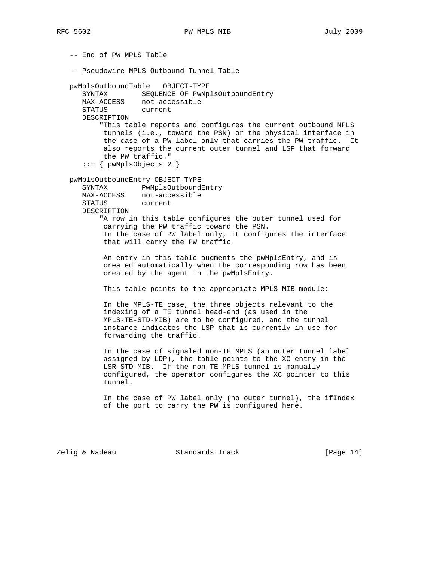-- End of PW MPLS Table -- Pseudowire MPLS Outbound Tunnel Table pwMplsOutboundTable OBJECT-TYPE SYNTAX SEQUENCE OF PwMplsOutboundEntry MAX-ACCESS not-accessible STATUS current DESCRIPTION "This table reports and configures the current outbound MPLS tunnels (i.e., toward the PSN) or the physical interface in the case of a PW label only that carries the PW traffic. It also reports the current outer tunnel and LSP that forward the PW traffic." ::= { pwMplsObjects 2 } pwMplsOutboundEntry OBJECT-TYPE SYNTAX PwMplsOutboundEntry MAX-ACCESS not-accessible STATUS current DESCRIPTION "A row in this table configures the outer tunnel used for carrying the PW traffic toward the PSN. In the case of PW label only, it configures the interface that will carry the PW traffic. An entry in this table augments the pwMplsEntry, and is created automatically when the corresponding row has been created by the agent in the pwMplsEntry. This table points to the appropriate MPLS MIB module: In the MPLS-TE case, the three objects relevant to the indexing of a TE tunnel head-end (as used in the MPLS-TE-STD-MIB) are to be configured, and the tunnel instance indicates the LSP that is currently in use for forwarding the traffic. In the case of signaled non-TE MPLS (an outer tunnel label assigned by LDP), the table points to the XC entry in the LSR-STD-MIB. If the non-TE MPLS tunnel is manually configured, the operator configures the XC pointer to this tunnel. In the case of PW label only (no outer tunnel), the ifIndex of the port to carry the PW is configured here.

Zelig & Nadeau **Standards Track** [Page 14]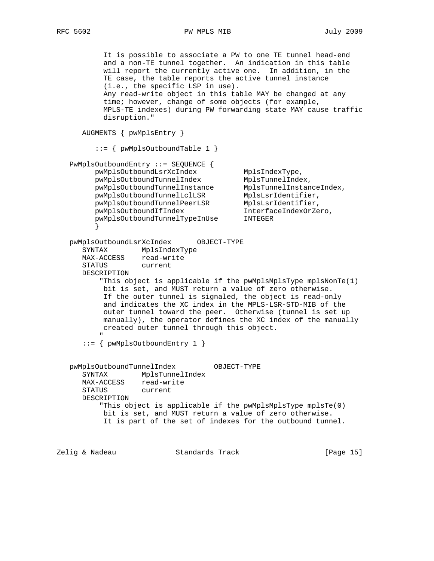RFC 5602 **PW MPLS MIB** July 2009

 It is possible to associate a PW to one TE tunnel head-end and a non-TE tunnel together. An indication in this table will report the currently active one. In addition, in the TE case, the table reports the active tunnel instance (i.e., the specific LSP in use). Any read-write object in this table MAY be changed at any time; however, change of some objects (for example, MPLS-TE indexes) during PW forwarding state MAY cause traffic disruption." AUGMENTS { pwMplsEntry } ::= { pwMplsOutboundTable 1 } PwMplsOutboundEntry ::= SEQUENCE { pwMplsOutboundLsrXcIndex MplsIndexType,<br>http://www.melindextype.magnumelindex.html pwMplsOutboundTunnelIndex MplsTunnelIndex, pwMplsOutboundTunnelInstance MplsTunnelInstanceIndex, pwMplsOutboundTunnelLclLSR MplsLsrIdentifier, pwMplsOutboundTunnelPeerLSR MplsLsrIdentifier, pwMplsOutboundIfIndex InterfaceIndexOrZero, pwMplsOutboundTunnelTypeInUse INTEGER } pwMplsOutboundLsrXcIndex OBJECT-TYPE SYNTAX MplsIndexType MAX-ACCESS read-write STATUS current DESCRIPTION "This object is applicable if the pwMplsMplsType mplsNonTe(1) bit is set, and MUST return a value of zero otherwise. If the outer tunnel is signaled, the object is read-only and indicates the XC index in the MPLS-LSR-STD-MIB of the outer tunnel toward the peer. Otherwise (tunnel is set up manually), the operator defines the XC index of the manually created outer tunnel through this object. " "The Contract of the Contract of the Contract of the Contract of the Contract of the Contract of the Contract of the Contract of the Contract of the Contract of the Contract of the Contract of the Contract of the Contrac  $::=$  { pwMplsOutboundEntry 1 } pwMplsOutboundTunnelIndex OBJECT-TYPE SYNTAX MplsTunnelIndex MAX-ACCESS read-write STATUS current DESCRIPTION "This object is applicable if the pwMplsMplsType mplsTe(0) bit is set, and MUST return a value of zero otherwise. It is part of the set of indexes for the outbound tunnel.

Zelig & Nadeau Standards Track [Page 15]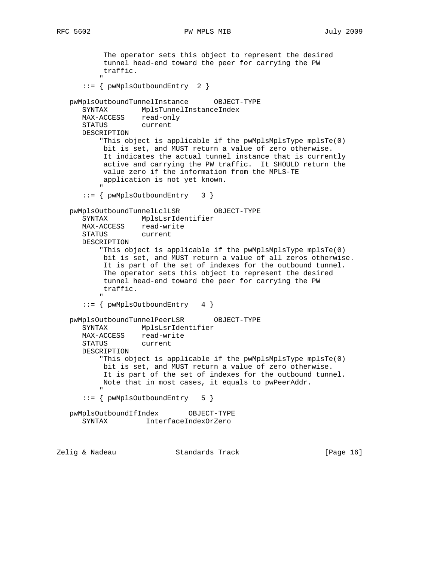RFC 5602 **PW MPLS MIB** July 2009

 The operator sets this object to represent the desired tunnel head-end toward the peer for carrying the PW traffic. " "The Contract of the Contract of the Contract of the Contract of the Contract of the Contract of the Contract of the Contract of the Contract of the Contract of the Contract of the Contract of the Contract of the Contrac ::= { pwMplsOutboundEntry 2 } pwMplsOutboundTunnelInstance OBJECT-TYPE SYNTAX MplsTunnelInstanceIndex MAX-ACCESS read-only STATUS current DESCRIPTION "This object is applicable if the pwMplsMplsType mplsTe(0) bit is set, and MUST return a value of zero otherwise. It indicates the actual tunnel instance that is currently active and carrying the PW traffic. It SHOULD return the value zero if the information from the MPLS-TE application is not yet known. " "The Contract of the Contract of the Contract of the Contract of the Contract of the Contract of the Contract of the Contract of the Contract of the Contract of the Contract of the Contract of the Contract of the Contrac ::= { pwMplsOutboundEntry 3 } pwMplsOutboundTunnelLclLSR OBJECT-TYPE SYNTAX MplsLsrIdentifier MAX-ACCESS read-write STATUS current DESCRIPTION "This object is applicable if the pwMplsMplsType mplsTe(0) bit is set, and MUST return a value of all zeros otherwise. It is part of the set of indexes for the outbound tunnel. The operator sets this object to represent the desired tunnel head-end toward the peer for carrying the PW traffic. " "The Contract of the Contract of the Contract of the Contract of the Contract of the Contract of the Contract of the Contract of the Contract of the Contract of the Contract of the Contract of the Contract of the Contrac ::= { pwMplsOutboundEntry 4 } pwMplsOutboundTunnelPeerLSR OBJECT-TYPE SYNTAX MplsLsrIdentifier MAX-ACCESS read-write STATUS current DESCRIPTION "This object is applicable if the pwMplsMplsType mplsTe(0) bit is set, and MUST return a value of zero otherwise. It is part of the set of indexes for the outbound tunnel. Note that in most cases, it equals to pwPeerAddr. " "The Contract of the Contract of the Contract of the Contract of the Contract of the Contract of the Contract of the Contract of the Contract of the Contract of the Contract of the Contract of the Contract of the Contrac ::= { pwMplsOutboundEntry 5 } pwMplsOutboundIfIndex OBJECT-TYPE SYNTAX InterfaceIndexOrZero

Zelig & Nadeau Standards Track [Page 16]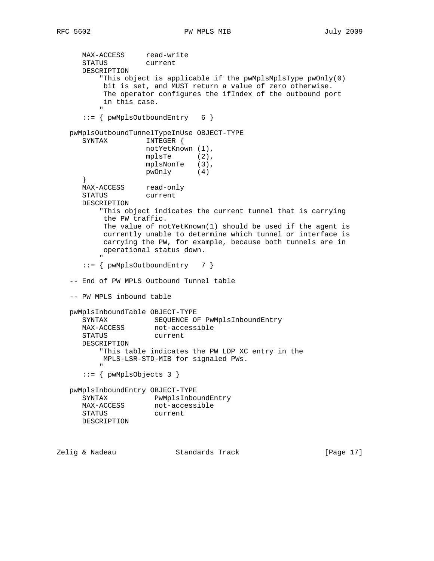MAX-ACCESS read-write STATUS current DESCRIPTION "This object is applicable if the pwMplsMplsType pwOnly(0) bit is set, and MUST return a value of zero otherwise. The operator configures the ifIndex of the outbound port in this case. " "The Contract of the Contract of the Contract of the Contract of the Contract of the Contract of the Contract of the Contract of the Contract of the Contract of the Contract of the Contract of the Contract of the Contrac ::= { pwMplsOutboundEntry 6 } pwMplsOutboundTunnelTypeInUse OBJECT-TYPE SYNTAX INTEGER { notYetKnown (1), mplsTe (2), mplsNonTe (3), pwOnly (4) } MAX-ACCESS read-only STATUS current DESCRIPTION "This object indicates the current tunnel that is carrying the PW traffic. The value of notYetKnown(1) should be used if the agent is currently unable to determine which tunnel or interface is carrying the PW, for example, because both tunnels are in operational status down. " "The Contract of the Contract of the Contract of the Contract of the Contract of the Contract of the Contract of the Contract of the Contract of the Contract of the Contract of the Contract of the Contract of the Contrac  $::=$  { pwMplsOutboundEntry 7 } -- End of PW MPLS Outbound Tunnel table -- PW MPLS inbound table pwMplsInboundTable OBJECT-TYPE SYNTAX SEQUENCE OF PwMplsInboundEntry MAX-ACCESS not-accessible STATUS current DESCRIPTION "This table indicates the PW LDP XC entry in the MPLS-LSR-STD-MIB for signaled PWs. " "The Contract of the Contract of the Contract of the Contract of the Contract of the Contract of the Contract of the Contract of the Contract of the Contract of the Contract of the Contract of the Contract of the Contrac ::= { pwMplsObjects 3 } pwMplsInboundEntry OBJECT-TYPE SYNTAX PwMplsInboundEntry MAX-ACCESS not-accessible STATUS current DESCRIPTION

Zelig & Nadeau Standards Track [Page 17]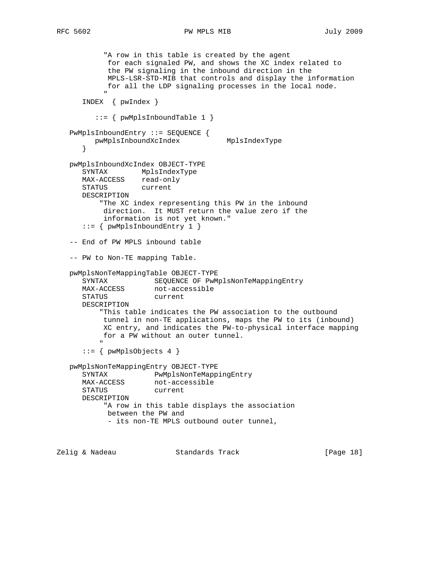### RFC 5602 **PW MPLS MIB** July 2009

"A row in this table is created by the agent for each signaled PW, and shows the XC index related to the PW signaling in the inbound direction in the MPLS-LSR-STD-MIB that controls and display the information for all the LDP signaling processes in the local node. " "The Contract of the Contract of the Contract of the Contract of the Contract of the Contract of the Contract of the Contract of the Contract of the Contract of the Contract of the Contract of the Contract of the Contrac INDEX { pwIndex } ::= { pwMplsInboundTable 1 } PwMplsInboundEntry ::= SEQUENCE { pwMplsInboundXcIndex MplsIndexType } pwMplsInboundXcIndex OBJECT-TYPE SYNTAX MplsIndexType MAX-ACCESS read-only<br>STATUS current STATUS DESCRIPTION "The XC index representing this PW in the inbound direction. It MUST return the value zero if the information is not yet known." ::= { pwMplsInboundEntry 1 } -- End of PW MPLS inbound table -- PW to Non-TE mapping Table. pwMplsNonTeMappingTable OBJECT-TYPE SYNTAX SEQUENCE OF PwMplsNonTeMappingEntry MAX-ACCESS not-accessible STATUS current DESCRIPTION "This table indicates the PW association to the outbound tunnel in non-TE applications, maps the PW to its (inbound) XC entry, and indicates the PW-to-physical interface mapping for a PW without an outer tunnel. " "The Contract of the Contract of the Contract of the Contract of the Contract of the Contract of the Contract of the Contract of the Contract of the Contract of the Contract of the Contract of the Contract of the Contrac  $::=$  { pwMplsObjects 4 } pwMplsNonTeMappingEntry OBJECT-TYPE SYNTAX PwMplsNonTeMappingEntry MAX-ACCESS not-accessible STATUS current DESCRIPTION "A row in this table displays the association between the PW and - its non-TE MPLS outbound outer tunnel,

Zelig & Nadeau **Standards Track** [Page 18]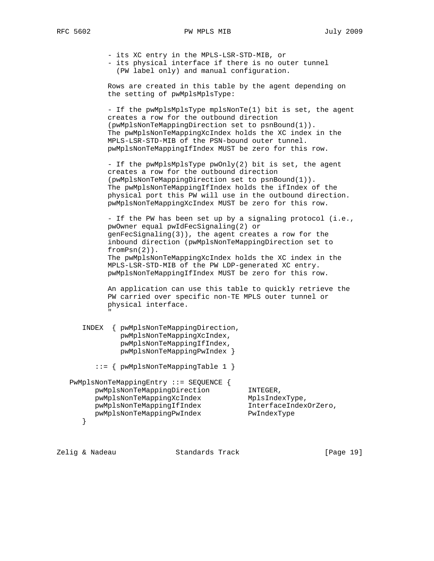- its XC entry in the MPLS-LSR-STD-MIB, or

 - its physical interface if there is no outer tunnel (PW label only) and manual configuration.

 Rows are created in this table by the agent depending on the setting of pwMplsMplsType:

 - If the pwMplsMplsType mplsNonTe(1) bit is set, the agent creates a row for the outbound direction (pwMplsNonTeMappingDirection set to psnBound(1)). The pwMplsNonTeMappingXcIndex holds the XC index in the MPLS-LSR-STD-MIB of the PSN-bound outer tunnel. pwMplsNonTeMappingIfIndex MUST be zero for this row.

 - If the pwMplsMplsType pwOnly(2) bit is set, the agent creates a row for the outbound direction (pwMplsNonTeMappingDirection set to psnBound(1)). The pwMplsNonTeMappingIfIndex holds the ifIndex of the physical port this PW will use in the outbound direction. pwMplsNonTeMappingXcIndex MUST be zero for this row.

 - If the PW has been set up by a signaling protocol (i.e., pwOwner equal pwIdFecSignaling(2) or genFecSignaling(3)), the agent creates a row for the inbound direction (pwMplsNonTeMappingDirection set to fromPsn(2)). The pwMplsNonTeMappingXcIndex holds the XC index in the MPLS-LSR-STD-MIB of the PW LDP-generated XC entry. pwMplsNonTeMappingIfIndex MUST be zero for this row.

 An application can use this table to quickly retrieve the PW carried over specific non-TE MPLS outer tunnel or physical interface. " "The Contract of the Contract of the Contract of the Contract of the Contract of the Contract of the Contract of the Contract of the Contract of the Contract of the Contract of the Contract of the Contract of the Contrac

 INDEX { pwMplsNonTeMappingDirection, pwMplsNonTeMappingXcIndex, pwMplsNonTeMappingIfIndex, pwMplsNonTeMappingPwIndex }

::= { pwMplsNonTeMappingTable 1 }

 PwMplsNonTeMappingEntry ::= SEQUENCE { pwMplsNonTeMappingDirection INTEGER, pwMplsNonTeMappingXcIndex MplsIndexType, pwMplsNonTeMappingIfIndex InterfaceIndexOrZero, pwMplsNonTeMappingPwIndex PwIndexType }

Zelig & Nadeau Standards Track [Page 19]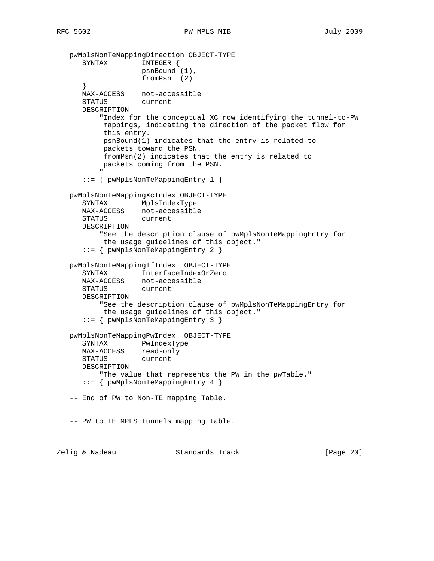```
 pwMplsNonTeMappingDirection OBJECT-TYPE
      SYNTAX INTEGER {
                      psnBound (1),
                      fromPsn (2)
 }
       MAX-ACCESS not-accessible
       STATUS current
       DESCRIPTION
            "Index for the conceptual XC row identifying the tunnel-to-PW
             mappings, indicating the direction of the packet flow for
             this entry.
             psnBound(1) indicates that the entry is related to
             packets toward the PSN.
             fromPsn(2) indicates that the entry is related to
            packets coming from the PSN.
" "The Contract of the Contract of the Contract of the Contract of the Contract of the Contract of the Contract of the Contract of the Contract of the Contract of the Contract of the Contract of the Contract of the Contrac
       ::= { pwMplsNonTeMappingEntry 1 }
    pwMplsNonTeMappingXcIndex OBJECT-TYPE
       SYNTAX MplsIndexType
       MAX-ACCESS not-accessible
       STATUS current
       DESCRIPTION
            "See the description clause of pwMplsNonTeMappingEntry for
            the usage guidelines of this object."
       ::= { pwMplsNonTeMappingEntry 2 }
    pwMplsNonTeMappingIfIndex OBJECT-TYPE
       SYNTAX InterfaceIndexOrZero
       MAX-ACCESS not-accessible
       STATUS current
       DESCRIPTION
            "See the description clause of pwMplsNonTeMappingEntry for
            the usage guidelines of this object."
       ::= { pwMplsNonTeMappingEntry 3 }
    pwMplsNonTeMappingPwIndex OBJECT-TYPE
       SYNTAX PwIndexType
      MAX-ACCESS read-only
       STATUS current
       DESCRIPTION
           "The value that represents the PW in the pwTable."
       ::= { pwMplsNonTeMappingEntry 4 }
    -- End of PW to Non-TE mapping Table.
    -- PW to TE MPLS tunnels mapping Table.
Zelig & Nadeau Standards Track [Page 20]
```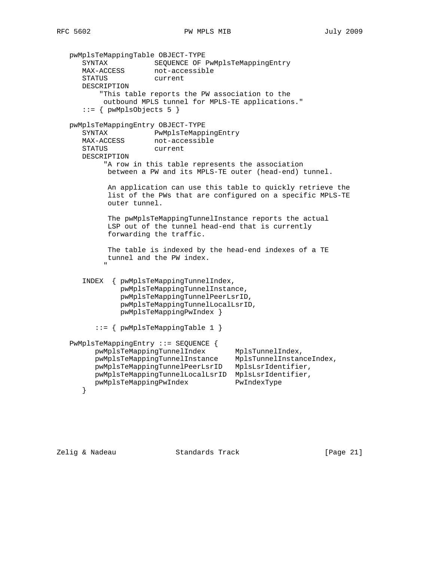```
 pwMplsTeMappingTable OBJECT-TYPE
 SYNTAX SEQUENCE OF PwMplsTeMappingEntry
MAX-ACCESS not-accessible
       STATUS current
       DESCRIPTION
            "This table reports the PW association to the
            outbound MPLS tunnel for MPLS-TE applications."
      ::= { pwMplsObjects 5 }
   pwMplsTeMappingEntry OBJECT-TYPE
       SYNTAX PwMplsTeMappingEntry
      MAX-ACCESS not-accessible
       STATUS current
       DESCRIPTION
             "A row in this table represents the association
             between a PW and its MPLS-TE outer (head-end) tunnel.
             An application can use this table to quickly retrieve the
              list of the PWs that are configured on a specific MPLS-TE
              outer tunnel.
              The pwMplsTeMappingTunnelInstance reports the actual
              LSP out of the tunnel head-end that is currently
              forwarding the traffic.
              The table is indexed by the head-end indexes of a TE
             tunnel and the PW index.
" "The Contract of the Contract of the Contract of the Contract of the Contract of the Contract of the Contract of the Contract of the Contract of the Contract of the Contract of the Contract of the Contract of the Contrac
       INDEX { pwMplsTeMappingTunnelIndex,
                 pwMplsTeMappingTunnelInstance,
                 pwMplsTeMappingTunnelPeerLsrID,
                 pwMplsTeMappingTunnelLocalLsrID,
                 pwMplsTeMappingPwIndex }
          ::= { pwMplsTeMappingTable 1 }
    PwMplsTeMappingEntry ::= SEQUENCE {
         pwMplsTeMappingTunnelIndex MplsTunnelIndex,
 pwMplsTeMappingTunnelInstance MplsTunnelInstanceIndex,
 pwMplsTeMappingTunnelPeerLsrID MplsLsrIdentifier,
          pwMplsTeMappingTunnelLocalLsrID MplsLsrIdentifier,
          pwMplsTeMappingPwIndex PwIndexType
       }
```
Zelig & Nadeau Standards Track [Page 21]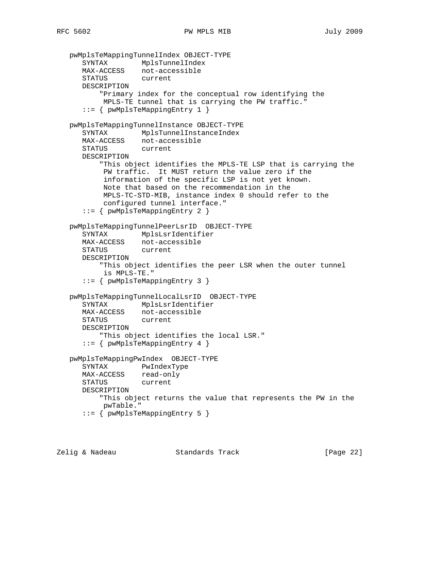```
 pwMplsTeMappingTunnelIndex OBJECT-TYPE
 SYNTAX MplsTunnelIndex
 MAX-ACCESS not-accessible
      STATUS current
      DESCRIPTION
          "Primary index for the conceptual row identifying the
          MPLS-TE tunnel that is carrying the PW traffic."
      ::= { pwMplsTeMappingEntry 1 }
   pwMplsTeMappingTunnelInstance OBJECT-TYPE
      SYNTAX MplsTunnelInstanceIndex
 MAX-ACCESS not-accessible
 STATUS current
      DESCRIPTION
          "This object identifies the MPLS-TE LSP that is carrying the
           PW traffic. It MUST return the value zero if the
           information of the specific LSP is not yet known.
           Note that based on the recommendation in the
           MPLS-TC-STD-MIB, instance index 0 should refer to the
           configured tunnel interface."
      ::= { pwMplsTeMappingEntry 2 }
   pwMplsTeMappingTunnelPeerLsrID OBJECT-TYPE
 SYNTAX MplsLsrIdentifier
 MAX-ACCESS not-accessible
      STATUS current
      DESCRIPTION
          "This object identifies the peer LSR when the outer tunnel
           is MPLS-TE."
      ::= { pwMplsTeMappingEntry 3 }
   pwMplsTeMappingTunnelLocalLsrID OBJECT-TYPE
      SYNTAX MplsLsrIdentifier
      MAX-ACCESS not-accessible
      STATUS current
      DESCRIPTION
         "This object identifies the local LSR."
      ::= { pwMplsTeMappingEntry 4 }
   pwMplsTeMappingPwIndex OBJECT-TYPE
      SYNTAX PwIndexType
     MAX-ACCESS read-only
      STATUS current
      DESCRIPTION
          "This object returns the value that represents the PW in the
          pwTable."
      ::= { pwMplsTeMappingEntry 5 }
```
Zelig & Nadeau Standards Track [Page 22]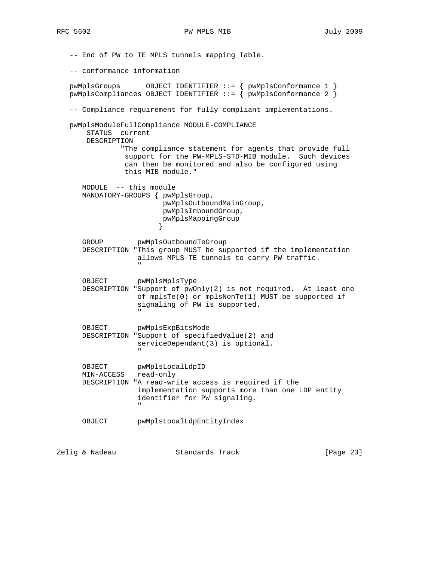-- End of PW to TE MPLS tunnels mapping Table. -- conformance information pwMplsGroups OBJECT IDENTIFIER ::= { pwMplsConformance 1 } pwMplsCompliances OBJECT IDENTIFIER ::= { pwMplsConformance 2 } -- Compliance requirement for fully compliant implementations. pwMplsModuleFullCompliance MODULE-COMPLIANCE STATUS current DESCRIPTION "The compliance statement for agents that provide full support for the PW-MPLS-STD-MIB module. Such devices can then be monitored and also be configured using this MIB module." MODULE -- this module MANDATORY-GROUPS { pwMplsGroup, pwMplsOutboundMainGroup, pwMplsInboundGroup, pwMplsMappingGroup<br>} } GROUP pwMplsOutboundTeGroup DESCRIPTION "This group MUST be supported if the implementation allows MPLS-TE tunnels to carry PW traffic. " "The contract of the contract of the contract of the contract of the contract of the contract of the contract of the contract of the contract of the contract of the contract of the contract of the contract of the contrac OBJECT pwMplsMplsType DESCRIPTION "Support of pwOnly(2) is not required. At least one of mplsTe(0) or mplsNonTe(1) MUST be supported if signaling of PW is supported. " "The contract of the contract of the contract of the contract of the contract of the contract of the contract of the contract of the contract of the contract of the contract of the contract of the contract of the contrac OBJECT pwMplsExpBitsMode DESCRIPTION "Support of specifiedValue(2) and serviceDependant(3) is optional. " OBJECT pwMplsLocalLdpID MIN-ACCESS read-only DESCRIPTION "A read-write access is required if the implementation supports more than one LDP entity identifier for PW signaling. " "The contract of the contract of the contract of the contract of the contract of the contract of the contract of the contract of the contract of the contract of the contract of the contract of the contract of the contrac OBJECT pwMplsLocalLdpEntityIndex Zelig & Nadeau Standards Track [Page 23]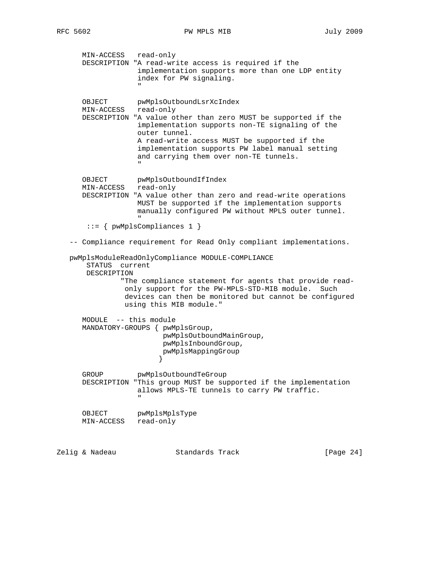MIN-ACCESS read-only DESCRIPTION "A read-write access is required if the implementation supports more than one LDP entity index for PW signaling. " "The contract of the contract of the contract of the contract of the contract of the contract of the contract of the contract of the contract of the contract of the contract of the contract of the contract of the contrac OBJECT pwMplsOutboundLsrXcIndex MIN-ACCESS read-only DESCRIPTION "A value other than zero MUST be supported if the implementation supports non-TE signaling of the outer tunnel. A read-write access MUST be supported if the implementation supports PW label manual setting and carrying them over non-TE tunnels. " OBJECT pwMplsOutboundIfIndex MIN-ACCESS read-only DESCRIPTION "A value other than zero and read-write operations MUST be supported if the implementation supports manually configured PW without MPLS outer tunnel. " "The contract of the contract of the contract of the contract of the contract of the contract of the contract of the contract of the contract of the contract of the contract of the contract of the contract of the contrac ::= { pwMplsCompliances 1 } -- Compliance requirement for Read Only compliant implementations. pwMplsModuleReadOnlyCompliance MODULE-COMPLIANCE STATUS current DESCRIPTION "The compliance statement for agents that provide read only support for the PW-MPLS-STD-MIB module. Such devices can then be monitored but cannot be configured using this MIB module." MODULE -- this module MANDATORY-GROUPS { pwMplsGroup, pwMplsOutboundMainGroup, pwMplsInboundGroup, pwMplsMappingGroup } GROUP pwMplsOutboundTeGroup DESCRIPTION "This group MUST be supported if the implementation allows MPLS-TE tunnels to carry PW traffic. " OBJECT pwMplsMplsType MIN-ACCESS read-only Zelig & Nadeau Standards Track [Page 24]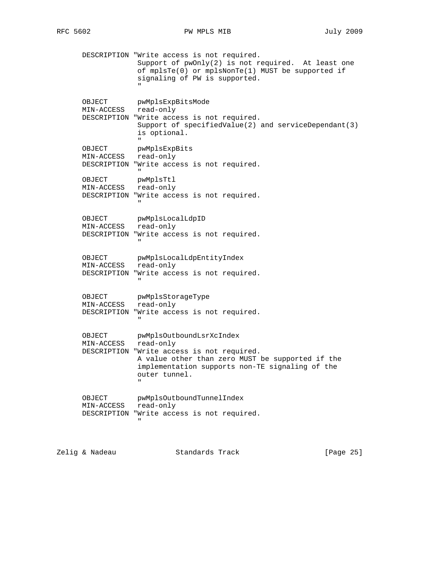DESCRIPTION "Write access is not required. Support of  $pwOnly(2)$  is not required. At least one of mplsTe(0) or mplsNonTe(1) MUST be supported if signaling of PW is supported. " "The contract of the contract of the contract of the contract of the contract of the contract of the contract of the contract of the contract of the contract of the contract of the contract of the contract of the contrac OBJECT pwMplsExpBitsMode MIN-ACCESS read-only DESCRIPTION "Write access is not required. Support of specifiedValue(2) and serviceDependant(3) is optional. " OBJECT pwMplsExpBits MIN-ACCESS read-only DESCRIPTION "Write access is not required. " "The contract of the contract of the contract of the contract of the contract of the contract of the contract of the contract of the contract of the contract of the contract of the contract of the contract of the contrac OBJECT pwMplsTtl MIN-ACCESS read-only DESCRIPTION "Write access is not required. " "The contract of the contract of the contract of the contract of the contract of the contract of the contract of the contract of the contract of the contract of the contract of the contract of the contract of the contrac OBJECT pwMplsLocalLdpID MIN-ACCESS read-only DESCRIPTION "Write access is not required. " "The contract of the contract of the contract of the contract of the contract of the contract of the contract of the contract of the contract of the contract of the contract of the contract of the contract of the contrac OBJECT pwMplsLocalLdpEntityIndex MIN-ACCESS read-only DESCRIPTION "Write access is not required. " OBJECT pwMplsStorageType MIN-ACCESS read-only DESCRIPTION "Write access is not required. " "The contract of the contract of the contract of the contract of the contract of the contract of the contract of the contract of the contract of the contract of the contract of the contract of the contract of the contrac OBJECT pwMplsOutboundLsrXcIndex MIN-ACCESS read-only DESCRIPTION "Write access is not required. A value other than zero MUST be supported if the implementation supports non-TE signaling of the outer tunnel. " "The contract of the contract of the contract of the contract of the contract of the contract of the contract of the contract of the contract of the contract of the contract of the contract of the contract of the contrac OBJECT pwMplsOutboundTunnelIndex MIN-ACCESS read-only DESCRIPTION "Write access is not required. "

Zelig & Nadeau **Standards Track** [Page 25]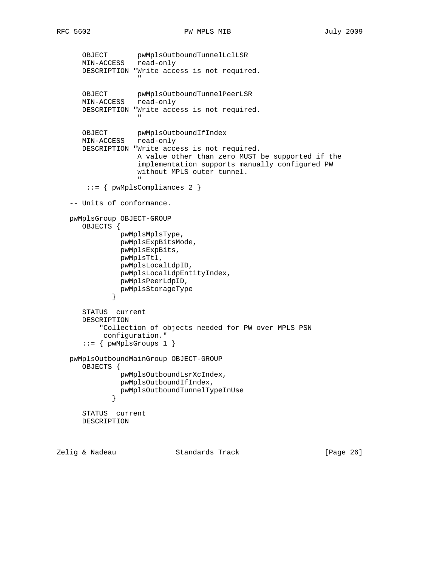```
 OBJECT pwMplsOutboundTunnelLclLSR
 MIN-ACCESS read-only
        DESCRIPTION "Write access is not required.
" "The contract of the contract of the contract of the contract of the contract of the contract of the contract of the contract of the contract of the contract of the contract of the contract of the contract of the contrac
 OBJECT pwMplsOutboundTunnelPeerLSR
 MIN-ACCESS read-only
        DESCRIPTION "Write access is not required.
 "
        OBJECT pwMplsOutboundIfIndex
        MIN-ACCESS read-only
        DESCRIPTION "Write access is not required.
                          A value other than zero MUST be supported if the
                          implementation supports manually configured PW
                          without MPLS outer tunnel.
" "The contract of the contract of the contract of the contract of the contract of the contract of the contract of the contract of the contract of the contract of the contract of the contract of the contract of the contrac
          ::= { pwMplsCompliances 2 }
    -- Units of conformance.
    pwMplsGroup OBJECT-GROUP
        OBJECTS {
                    pwMplsMplsType,
                    pwMplsExpBitsMode,
                    pwMplsExpBits,
                    pwMplsTtl,
                    pwMplsLocalLdpID,
                    pwMplsLocalLdpEntityIndex,
                    pwMplsPeerLdpID,
                 pwMplsStorageType<br>}
 }
        STATUS current
        DESCRIPTION
              "Collection of objects needed for PW over MPLS PSN
               configuration."
        ::= { pwMplsGroups 1 }
    pwMplsOutboundMainGroup OBJECT-GROUP
        OBJECTS {
                     pwMplsOutboundLsrXcIndex,
                    pwMplsOutboundIfIndex,
                 pwMplsOutboundTunnelTypeInUse<br>}
 }
        STATUS current
        DESCRIPTION
```
Zelig & Nadeau **Standards Track** [Page 26]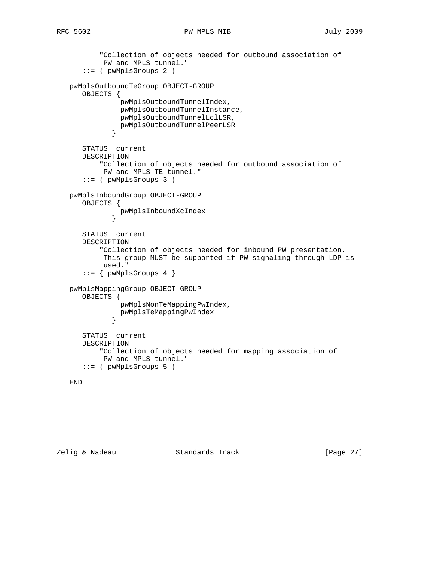### RFC 5602 **PW MPLS MIB** July 2009

```
 "Collection of objects needed for outbound association of
           PW and MPLS tunnel."
      ::= { pwMplsGroups 2 }
   pwMplsOutboundTeGroup OBJECT-GROUP
      OBJECTS {
               pwMplsOutboundTunnelIndex,
               pwMplsOutboundTunnelInstance,
               pwMplsOutboundTunnelLclLSR,
              pwMplsOutboundTunnelPeerLSR
 }
      STATUS current
      DESCRIPTION
           "Collection of objects needed for outbound association of
           PW and MPLS-TE tunnel."
       ::= { pwMplsGroups 3 }
   pwMplsInboundGroup OBJECT-GROUP
      OBJECTS {
              pwMplsInboundXcIndex
 }
      STATUS current
      DESCRIPTION
           "Collection of objects needed for inbound PW presentation.
           This group MUST be supported if PW signaling through LDP is
           used."
       ::= { pwMplsGroups 4 }
   pwMplsMappingGroup OBJECT-GROUP
      OBJECTS {
               pwMplsNonTeMappingPwIndex,
             pwMplsTeMappingPwIndex<br>}
 }
      STATUS current
      DESCRIPTION
           "Collection of objects needed for mapping association of
           PW and MPLS tunnel."
       ::= { pwMplsGroups 5 }
```

```
 END
```
Zelig & Nadeau Standards Track [Page 27]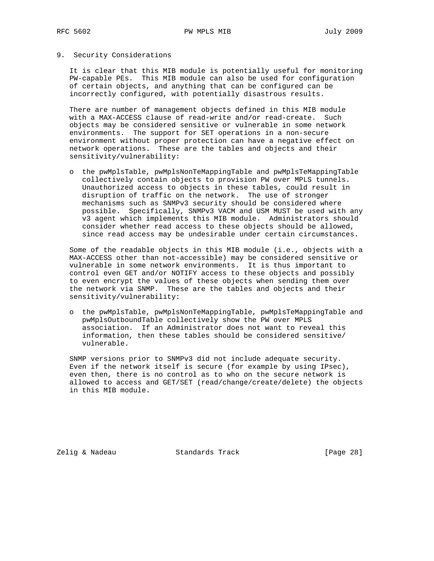### 9. Security Considerations

 It is clear that this MIB module is potentially useful for monitoring PW-capable PEs. This MIB module can also be used for configuration of certain objects, and anything that can be configured can be incorrectly configured, with potentially disastrous results.

 There are number of management objects defined in this MIB module with a MAX-ACCESS clause of read-write and/or read-create. Such objects may be considered sensitive or vulnerable in some network environments. The support for SET operations in a non-secure environment without proper protection can have a negative effect on network operations. These are the tables and objects and their sensitivity/vulnerability:

 o the pwMplsTable, pwMplsNonTeMappingTable and pwMplsTeMappingTable collectively contain objects to provision PW over MPLS tunnels. Unauthorized access to objects in these tables, could result in disruption of traffic on the network. The use of stronger mechanisms such as SNMPv3 security should be considered where possible. Specifically, SNMPv3 VACM and USM MUST be used with any v3 agent which implements this MIB module. Administrators should consider whether read access to these objects should be allowed, since read access may be undesirable under certain circumstances.

 Some of the readable objects in this MIB module (i.e., objects with a MAX-ACCESS other than not-accessible) may be considered sensitive or vulnerable in some network environments. It is thus important to control even GET and/or NOTIFY access to these objects and possibly to even encrypt the values of these objects when sending them over the network via SNMP. These are the tables and objects and their sensitivity/vulnerability:

 o the pwMplsTable, pwMplsNonTeMappingTable, pwMplsTeMappingTable and pwMplsOutboundTable collectively show the PW over MPLS association. If an Administrator does not want to reveal this information, then these tables should be considered sensitive/ vulnerable.

 SNMP versions prior to SNMPv3 did not include adequate security. Even if the network itself is secure (for example by using IPsec), even then, there is no control as to who on the secure network is allowed to access and GET/SET (read/change/create/delete) the objects in this MIB module.

Zelig & Nadeau **Standards Track** [Page 28]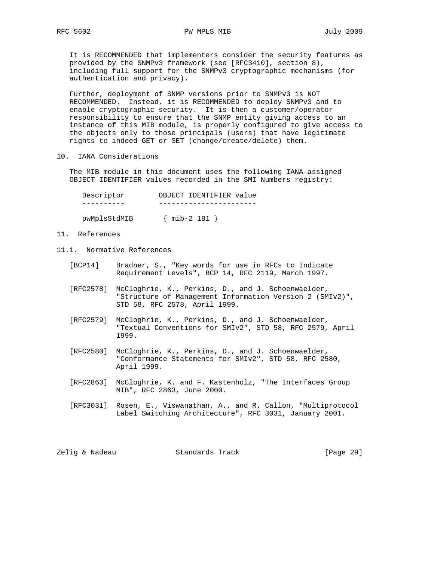It is RECOMMENDED that implementers consider the security features as provided by the SNMPv3 framework (see [RFC3410], section 8), including full support for the SNMPv3 cryptographic mechanisms (for authentication and privacy).

 Further, deployment of SNMP versions prior to SNMPv3 is NOT RECOMMENDED. Instead, it is RECOMMENDED to deploy SNMPv3 and to enable cryptographic security. It is then a customer/operator responsibility to ensure that the SNMP entity giving access to an instance of this MIB module, is properly configured to give access to the objects only to those principals (users) that have legitimate rights to indeed GET or SET (change/create/delete) them.

10. IANA Considerations

 The MIB module in this document uses the following IANA-assigned OBJECT IDENTIFIER values recorded in the SMI Numbers registry:

| Descriptor   | OBJECT IDENTIFIER value |
|--------------|-------------------------|
|              |                         |
| pwMplsStdMIB | $\{$ mib-2 181 $\}$     |

- 11. References
- 11.1. Normative References
	- [BCP14] Bradner, S., "Key words for use in RFCs to Indicate Requirement Levels", BCP 14, RFC 2119, March 1997.
	- [RFC2578] McCloghrie, K., Perkins, D., and J. Schoenwaelder, "Structure of Management Information Version 2 (SMIv2)", STD 58, RFC 2578, April 1999.
	- [RFC2579] McCloghrie, K., Perkins, D., and J. Schoenwaelder, "Textual Conventions for SMIv2", STD 58, RFC 2579, April 1999.
	- [RFC2580] McCloghrie, K., Perkins, D., and J. Schoenwaelder, "Conformance Statements for SMIv2", STD 58, RFC 2580, April 1999.
	- [RFC2863] McCloghrie, K. and F. Kastenholz, "The Interfaces Group MIB", RFC 2863, June 2000.
	- [RFC3031] Rosen, E., Viswanathan, A., and R. Callon, "Multiprotocol Label Switching Architecture", RFC 3031, January 2001.

Zelig & Nadeau **Standards Track** [Page 29]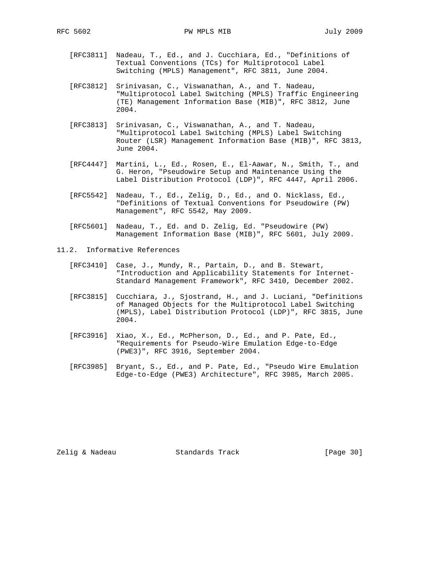- [RFC3811] Nadeau, T., Ed., and J. Cucchiara, Ed., "Definitions of Textual Conventions (TCs) for Multiprotocol Label Switching (MPLS) Management", RFC 3811, June 2004.
- [RFC3812] Srinivasan, C., Viswanathan, A., and T. Nadeau, "Multiprotocol Label Switching (MPLS) Traffic Engineering (TE) Management Information Base (MIB)", RFC 3812, June 2004.
- [RFC3813] Srinivasan, C., Viswanathan, A., and T. Nadeau, "Multiprotocol Label Switching (MPLS) Label Switching Router (LSR) Management Information Base (MIB)", RFC 3813, June 2004.
- [RFC4447] Martini, L., Ed., Rosen, E., El-Aawar, N., Smith, T., and G. Heron, "Pseudowire Setup and Maintenance Using the Label Distribution Protocol (LDP)", RFC 4447, April 2006.
- [RFC5542] Nadeau, T., Ed., Zelig, D., Ed., and O. Nicklass, Ed., "Definitions of Textual Conventions for Pseudowire (PW) Management", RFC 5542, May 2009.
- [RFC5601] Nadeau, T., Ed. and D. Zelig, Ed. "Pseudowire (PW) Management Information Base (MIB)", RFC 5601, July 2009.
- 11.2. Informative References
	- [RFC3410] Case, J., Mundy, R., Partain, D., and B. Stewart, "Introduction and Applicability Statements for Internet- Standard Management Framework", RFC 3410, December 2002.
	- [RFC3815] Cucchiara, J., Sjostrand, H., and J. Luciani, "Definitions of Managed Objects for the Multiprotocol Label Switching (MPLS), Label Distribution Protocol (LDP)", RFC 3815, June 2004.
	- [RFC3916] Xiao, X., Ed., McPherson, D., Ed., and P. Pate, Ed., "Requirements for Pseudo-Wire Emulation Edge-to-Edge (PWE3)", RFC 3916, September 2004.
	- [RFC3985] Bryant, S., Ed., and P. Pate, Ed., "Pseudo Wire Emulation Edge-to-Edge (PWE3) Architecture", RFC 3985, March 2005.

Zelig & Nadeau **Standards Track** [Page 30]